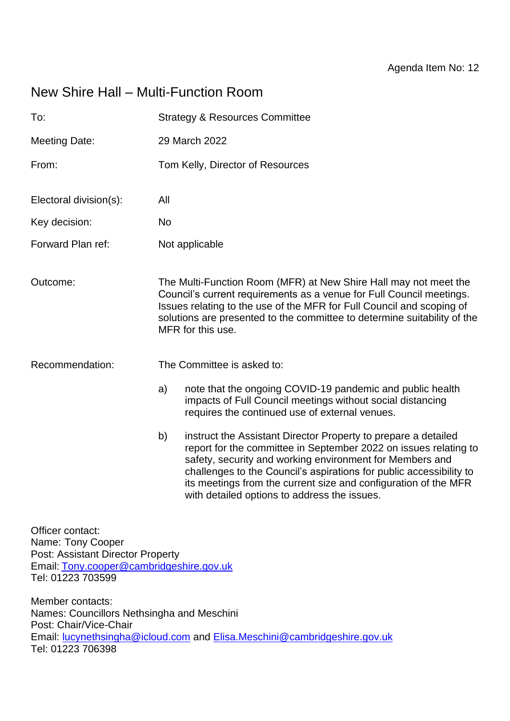# New Shire Hall – Multi-Function Room

| To:                                                                               | <b>Strategy &amp; Resources Committee</b>                                                                                                                                                                                                                                                                                                                                                      |  |  |
|-----------------------------------------------------------------------------------|------------------------------------------------------------------------------------------------------------------------------------------------------------------------------------------------------------------------------------------------------------------------------------------------------------------------------------------------------------------------------------------------|--|--|
| <b>Meeting Date:</b>                                                              | 29 March 2022                                                                                                                                                                                                                                                                                                                                                                                  |  |  |
| From:                                                                             | Tom Kelly, Director of Resources                                                                                                                                                                                                                                                                                                                                                               |  |  |
| Electoral division(s):                                                            | All                                                                                                                                                                                                                                                                                                                                                                                            |  |  |
| Key decision:                                                                     | <b>No</b>                                                                                                                                                                                                                                                                                                                                                                                      |  |  |
| Forward Plan ref:                                                                 | Not applicable                                                                                                                                                                                                                                                                                                                                                                                 |  |  |
| Outcome:                                                                          | The Multi-Function Room (MFR) at New Shire Hall may not meet the<br>Council's current requirements as a venue for Full Council meetings.<br>Issues relating to the use of the MFR for Full Council and scoping of<br>solutions are presented to the committee to determine suitability of the<br>MFR for this use.                                                                             |  |  |
| Recommendation:                                                                   | The Committee is asked to:                                                                                                                                                                                                                                                                                                                                                                     |  |  |
|                                                                                   | note that the ongoing COVID-19 pandemic and public health<br>a)<br>impacts of Full Council meetings without social distancing<br>requires the continued use of external venues.                                                                                                                                                                                                                |  |  |
|                                                                                   | b)<br>instruct the Assistant Director Property to prepare a detailed<br>report for the committee in September 2022 on issues relating to<br>safety, security and working environment for Members and<br>challenges to the Council's aspirations for public accessibility to<br>its meetings from the current size and configuration of the MFR<br>with detailed options to address the issues. |  |  |
| Officer contact:<br>Name: Tony Cooper<br><b>Doot: Appietant Director Draperty</b> |                                                                                                                                                                                                                                                                                                                                                                                                |  |  |

Post: Assistant Director Property Email: [Tony.cooper@cambridgeshire.gov.uk](mailto:Tony.cooper@cambridgeshire.gov.uk) Tel: 01223 703599

Member contacts: Names: Councillors Nethsingha and Meschini Post: Chair/Vice-Chair Email: [lucynethsingha@icloud.com](mailto:lucynethsingha@icloud.com) and [Elisa.Meschini@cambridgeshire.gov.uk](mailto:Elisa.Meschini@cambridgeshire.gov.uk)  Tel: 01223 706398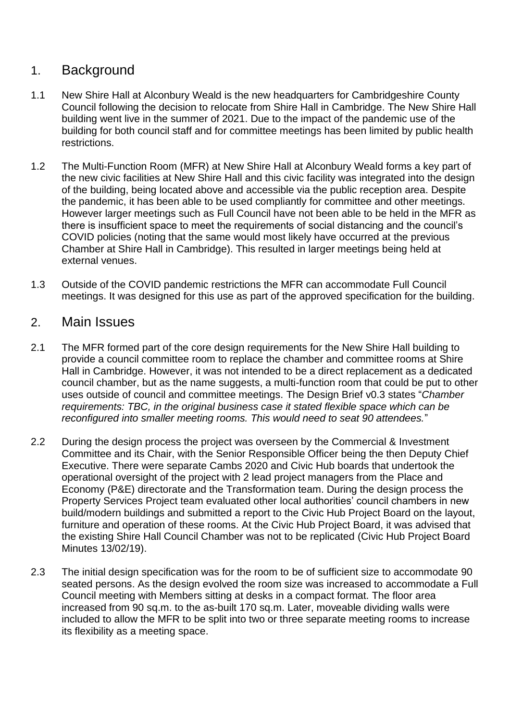# 1. Background

- 1.1 New Shire Hall at Alconbury Weald is the new headquarters for Cambridgeshire County Council following the decision to relocate from Shire Hall in Cambridge. The New Shire Hall building went live in the summer of 2021. Due to the impact of the pandemic use of the building for both council staff and for committee meetings has been limited by public health restrictions.
- 1.2 The Multi-Function Room (MFR) at New Shire Hall at Alconbury Weald forms a key part of the new civic facilities at New Shire Hall and this civic facility was integrated into the design of the building, being located above and accessible via the public reception area. Despite the pandemic, it has been able to be used compliantly for committee and other meetings. However larger meetings such as Full Council have not been able to be held in the MFR as there is insufficient space to meet the requirements of social distancing and the council's COVID policies (noting that the same would most likely have occurred at the previous Chamber at Shire Hall in Cambridge). This resulted in larger meetings being held at external venues.
- 1.3 Outside of the COVID pandemic restrictions the MFR can accommodate Full Council meetings. It was designed for this use as part of the approved specification for the building.

## 2. Main Issues

- 2.1 The MFR formed part of the core design requirements for the New Shire Hall building to provide a council committee room to replace the chamber and committee rooms at Shire Hall in Cambridge. However, it was not intended to be a direct replacement as a dedicated council chamber, but as the name suggests, a multi-function room that could be put to other uses outside of council and committee meetings. The Design Brief v0.3 states "*Chamber requirements: TBC, in the original business case it stated flexible space which can be reconfigured into smaller meeting rooms. This would need to seat 90 attendees.*"
- 2.2 During the design process the project was overseen by the Commercial & Investment Committee and its Chair, with the Senior Responsible Officer being the then Deputy Chief Executive. There were separate Cambs 2020 and Civic Hub boards that undertook the operational oversight of the project with 2 lead project managers from the Place and Economy (P&E) directorate and the Transformation team. During the design process the Property Services Project team evaluated other local authorities' council chambers in new build/modern buildings and submitted a report to the Civic Hub Project Board on the layout, furniture and operation of these rooms. At the Civic Hub Project Board, it was advised that the existing Shire Hall Council Chamber was not to be replicated (Civic Hub Project Board Minutes 13/02/19).
- 2.3 The initial design specification was for the room to be of sufficient size to accommodate 90 seated persons. As the design evolved the room size was increased to accommodate a Full Council meeting with Members sitting at desks in a compact format. The floor area increased from 90 sq.m. to the as-built 170 sq.m. Later, moveable dividing walls were included to allow the MFR to be split into two or three separate meeting rooms to increase its flexibility as a meeting space.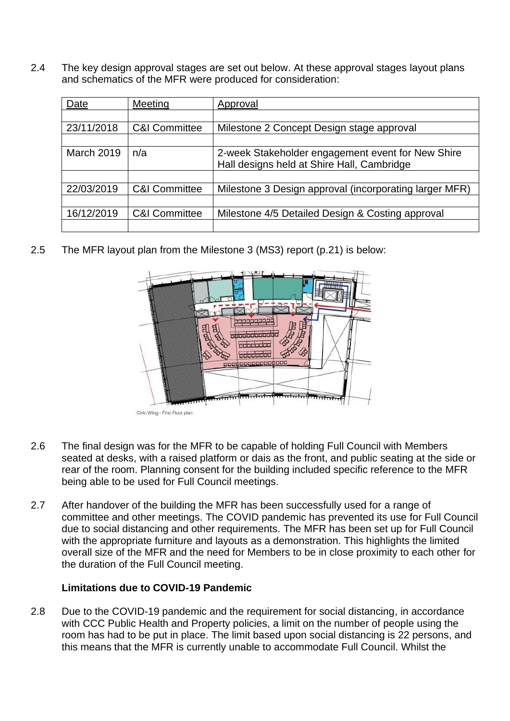2.4 The key design approval stages are set out below. At these approval stages layout plans and schematics of the MFR were produced for consideration:

| Date              | Meeting                  | Approval                                                                                        |
|-------------------|--------------------------|-------------------------------------------------------------------------------------------------|
|                   |                          |                                                                                                 |
| 23/11/2018        | <b>C&amp;I Committee</b> | Milestone 2 Concept Design stage approval                                                       |
|                   |                          |                                                                                                 |
| <b>March 2019</b> | n/a                      | 2-week Stakeholder engagement event for New Shire<br>Hall designs held at Shire Hall, Cambridge |
|                   |                          |                                                                                                 |
| 22/03/2019        | <b>C&amp;I Committee</b> | Milestone 3 Design approval (incorporating larger MFR)                                          |
|                   |                          |                                                                                                 |
| 16/12/2019        | <b>C&amp;I Committee</b> | Milestone 4/5 Detailed Design & Costing approval                                                |
|                   |                          |                                                                                                 |

2.5 The MFR layout plan from the Milestone 3 (MS3) report (p.21) is below:



- 2.6 The final design was for the MFR to be capable of holding Full Council with Members seated at desks, with a raised platform or dais as the front, and public seating at the side or rear of the room. Planning consent for the building included specific reference to the MFR being able to be used for Full Council meetings.
- 2.7 After handover of the building the MFR has been successfully used for a range of committee and other meetings. The COVID pandemic has prevented its use for Full Council due to social distancing and other requirements. The MFR has been set up for Full Council with the appropriate furniture and layouts as a demonstration. This highlights the limited overall size of the MFR and the need for Members to be in close proximity to each other for the duration of the Full Council meeting.

#### **Limitations due to COVID-19 Pandemic**

2.8 Due to the COVID-19 pandemic and the requirement for social distancing, in accordance with CCC Public Health and Property policies, a limit on the number of people using the room has had to be put in place. The limit based upon social distancing is 22 persons, and this means that the MFR is currently unable to accommodate Full Council. Whilst the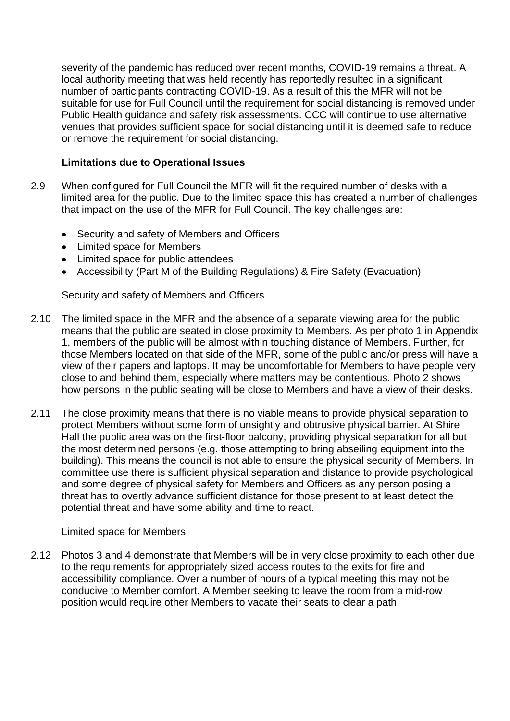severity of the pandemic has reduced over recent months, COVID-19 remains a threat. A local authority meeting that was held recently has reportedly resulted in a significant number of participants contracting COVID-19. As a result of this the MFR will not be suitable for use for Full Council until the requirement for social distancing is removed under Public Health guidance and safety risk assessments. CCC will continue to use alternative venues that provides sufficient space for social distancing until it is deemed safe to reduce or remove the requirement for social distancing.

#### **Limitations due to Operational Issues**

- 2.9 When configured for Full Council the MFR will fit the required number of desks with a limited area for the public. Due to the limited space this has created a number of challenges that impact on the use of the MFR for Full Council. The key challenges are:
	- Security and safety of Members and Officers
	- Limited space for Members
	- Limited space for public attendees
	- Accessibility (Part M of the Building Regulations) & Fire Safety (Evacuation)

Security and safety of Members and Officers

- 2.10 The limited space in the MFR and the absence of a separate viewing area for the public means that the public are seated in close proximity to Members. As per photo 1 in Appendix 1, members of the public will be almost within touching distance of Members. Further, for those Members located on that side of the MFR, some of the public and/or press will have a view of their papers and laptops. It may be uncomfortable for Members to have people very close to and behind them, especially where matters may be contentious. Photo 2 shows how persons in the public seating will be close to Members and have a view of their desks.
- 2.11 The close proximity means that there is no viable means to provide physical separation to protect Members without some form of unsightly and obtrusive physical barrier. At Shire Hall the public area was on the first-floor balcony, providing physical separation for all but the most determined persons (e.g. those attempting to bring abseiling equipment into the building). This means the council is not able to ensure the physical security of Members. In committee use there is sufficient physical separation and distance to provide psychological and some degree of physical safety for Members and Officers as any person posing a threat has to overtly advance sufficient distance for those present to at least detect the potential threat and have some ability and time to react.

#### Limited space for Members

2.12 Photos 3 and 4 demonstrate that Members will be in very close proximity to each other due to the requirements for appropriately sized access routes to the exits for fire and accessibility compliance. Over a number of hours of a typical meeting this may not be conducive to Member comfort. A Member seeking to leave the room from a mid-row position would require other Members to vacate their seats to clear a path.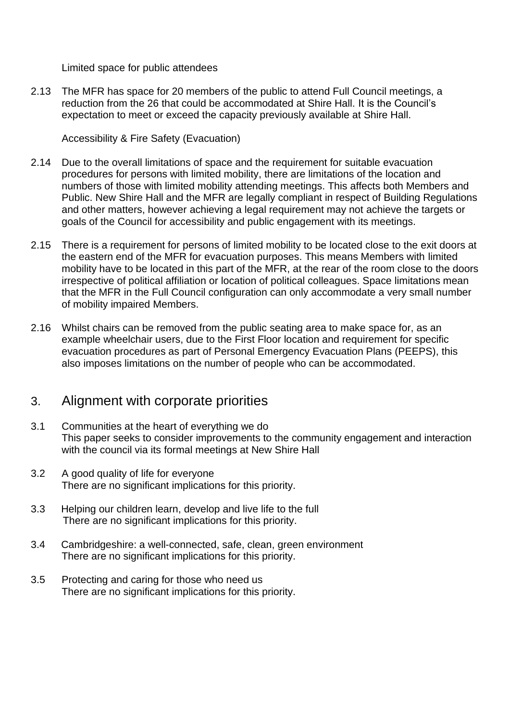Limited space for public attendees

2.13 The MFR has space for 20 members of the public to attend Full Council meetings, a reduction from the 26 that could be accommodated at Shire Hall. It is the Council's expectation to meet or exceed the capacity previously available at Shire Hall.

Accessibility & Fire Safety (Evacuation)

- 2.14 Due to the overall limitations of space and the requirement for suitable evacuation procedures for persons with limited mobility, there are limitations of the location and numbers of those with limited mobility attending meetings. This affects both Members and Public. New Shire Hall and the MFR are legally compliant in respect of Building Regulations and other matters, however achieving a legal requirement may not achieve the targets or goals of the Council for accessibility and public engagement with its meetings.
- 2.15 There is a requirement for persons of limited mobility to be located close to the exit doors at the eastern end of the MFR for evacuation purposes. This means Members with limited mobility have to be located in this part of the MFR, at the rear of the room close to the doors irrespective of political affiliation or location of political colleagues. Space limitations mean that the MFR in the Full Council configuration can only accommodate a very small number of mobility impaired Members.
- 2.16 Whilst chairs can be removed from the public seating area to make space for, as an example wheelchair users, due to the First Floor location and requirement for specific evacuation procedures as part of Personal Emergency Evacuation Plans (PEEPS), this also imposes limitations on the number of people who can be accommodated.

## 3. Alignment with corporate priorities

- 3.1 Communities at the heart of everything we do This paper seeks to consider improvements to the community engagement and interaction with the council via its formal meetings at New Shire Hall
- 3.2 A good quality of life for everyone There are no significant implications for this priority.
- 3.3 Helping our children learn, develop and live life to the full There are no significant implications for this priority.
- 3.4 Cambridgeshire: a well-connected, safe, clean, green environment There are no significant implications for this priority.
- 3.5 Protecting and caring for those who need us There are no significant implications for this priority.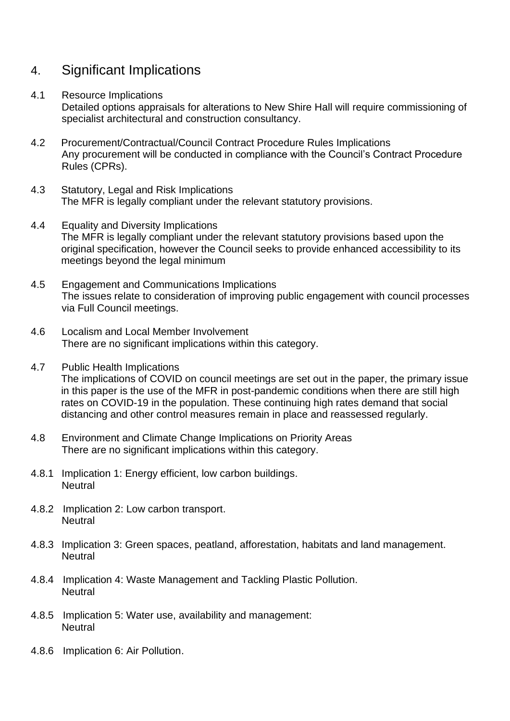# 4. Significant Implications

#### 4.1 Resource Implications

Detailed options appraisals for alterations to New Shire Hall will require commissioning of specialist architectural and construction consultancy.

- 4.2 Procurement/Contractual/Council Contract Procedure Rules Implications Any procurement will be conducted in compliance with the Council's Contract Procedure Rules (CPRs).
- 4.3 Statutory, Legal and Risk Implications The MFR is legally compliant under the relevant statutory provisions.
- 4.4 Equality and Diversity Implications The MFR is legally compliant under the relevant statutory provisions based upon the original specification, however the Council seeks to provide enhanced accessibility to its meetings beyond the legal minimum
- 4.5 Engagement and Communications Implications The issues relate to consideration of improving public engagement with council processes via Full Council meetings.
- 4.6 Localism and Local Member Involvement There are no significant implications within this category.
- 4.7 Public Health Implications The implications of COVID on council meetings are set out in the paper, the primary issue in this paper is the use of the MFR in post-pandemic conditions when there are still high rates on COVID-19 in the population. These continuing high rates demand that social distancing and other control measures remain in place and reassessed regularly.
- 4.8 Environment and Climate Change Implications on Priority Areas There are no significant implications within this category.
- 4.8.1 Implication 1: Energy efficient, low carbon buildings. **Neutral**
- 4.8.2 Implication 2: Low carbon transport. **Neutral**
- 4.8.3 Implication 3: Green spaces, peatland, afforestation, habitats and land management. **Neutral**
- 4.8.4 Implication 4: Waste Management and Tackling Plastic Pollution. **Neutral**
- 4.8.5 Implication 5: Water use, availability and management: **Neutral**
- 4.8.6 Implication 6: Air Pollution.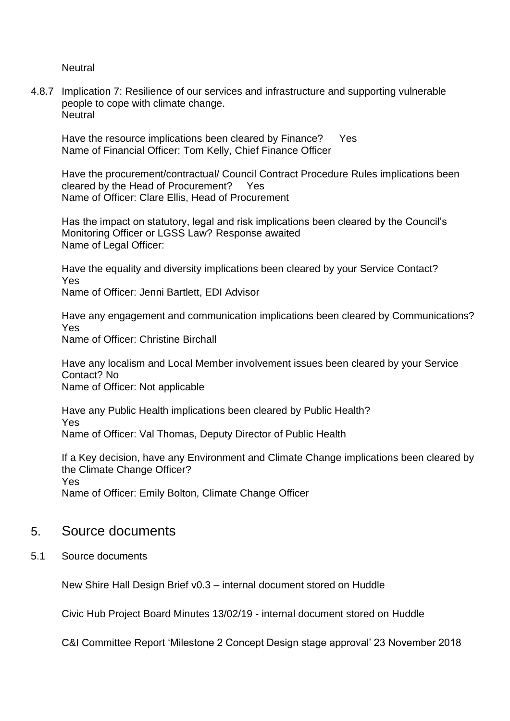**Neutral** 

4.8.7 Implication 7: Resilience of our services and infrastructure and supporting vulnerable people to cope with climate change. **Neutral** 

Have the resource implications been cleared by Finance? Yes Name of Financial Officer: Tom Kelly, Chief Finance Officer

Have the procurement/contractual/ Council Contract Procedure Rules implications been cleared by the Head of Procurement? Yes Name of Officer: Clare Ellis, Head of Procurement

Has the impact on statutory, legal and risk implications been cleared by the Council's Monitoring Officer or LGSS Law? Response awaited Name of Legal Officer:

Have the equality and diversity implications been cleared by your Service Contact? Yes

Name of Officer: Jenni Bartlett, EDI Advisor

Have any engagement and communication implications been cleared by Communications? Yes Name of Officer: Christine Birchall

Have any localism and Local Member involvement issues been cleared by your Service Contact? No Name of Officer: Not applicable

Have any Public Health implications been cleared by Public Health? Yes Name of Officer: Val Thomas, Deputy Director of Public Health

If a Key decision, have any Environment and Climate Change implications been cleared by the Climate Change Officer? Yes Name of Officer: Emily Bolton, Climate Change Officer

### 5. Source documents

5.1 Source documents

New Shire Hall Design Brief v0.3 – internal document stored on Huddle

Civic Hub Project Board Minutes 13/02/19 - internal document stored on Huddle

C&I Committee Report 'Milestone 2 Concept Design stage approval' 23 November 2018